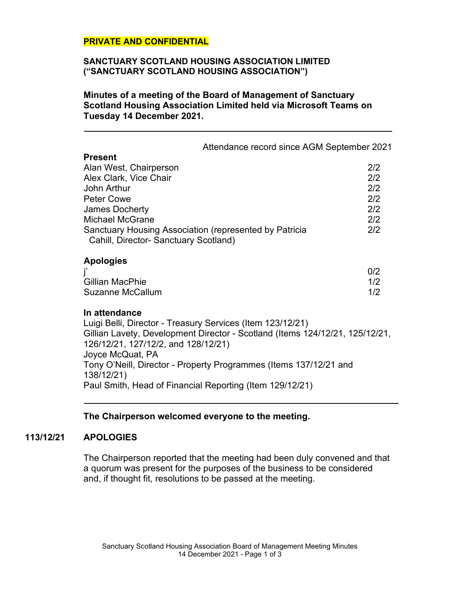## **PRIVATE AND CONFIDENTIAL**

#### **SANCTUARY SCOTLAND HOUSING ASSOCIATION LIMITED ("SANCTUARY SCOTLAND HOUSING ASSOCIATION")**

**Minutes of a meeting of the Board of Management of Sanctuary Scotland Housing Association Limited held via Microsoft Teams on Tuesday 14 December 2021.**

|                                                                                                                                                                                                                                                                                             | Attendance record since AGM September 2021 |                                               |
|---------------------------------------------------------------------------------------------------------------------------------------------------------------------------------------------------------------------------------------------------------------------------------------------|--------------------------------------------|-----------------------------------------------|
| <b>Present</b><br>Alan West, Chairperson<br>Alex Clark, Vice Chair<br>John Arthur<br><b>Peter Cowe</b><br><b>James Docherty</b><br><b>Michael McGrane</b><br>Sanctuary Housing Association (represented by Patricia<br>Cahill, Director- Sanctuary Scotland)                                |                                            | 2/2<br>2/2<br>2/2<br>2/2<br>2/2<br>2/2<br>2/2 |
| <b>Apologies</b><br>Gillian MacPhie<br>Suzanne McCallum                                                                                                                                                                                                                                     |                                            | 0/2<br>1/2<br>1/2                             |
| In attendance<br>Luigi Belli, Director - Treasury Services (Item 123/12/21)<br>Gillian Lavety, Development Director - Scotland (Items 124/12/21, 125/12/21,<br>126/12/21, 127/12/2, and 128/12/21)<br>Joyce McQuat, PA<br>Tony O'Neill, Director - Property Programmes (Items 137/12/21 and |                                            |                                               |
| 138/12/21)<br>Paul Smith, Head of Financial Reporting (Item 129/12/21)                                                                                                                                                                                                                      |                                            |                                               |

# **The Chairperson welcomed everyone to the meeting.**

## **113/12/21 APOLOGIES**

The Chairperson reported that the meeting had been duly convened and that a quorum was present for the purposes of the business to be considered and, if thought fit, resolutions to be passed at the meeting.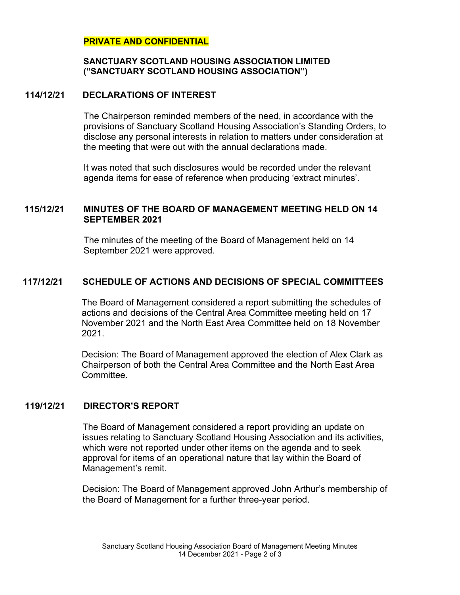## **PRIVATE AND CONFIDENTIAL**

### **SANCTUARY SCOTLAND HOUSING ASSOCIATION LIMITED ("SANCTUARY SCOTLAND HOUSING ASSOCIATION")**

## **114/12/21 DECLARATIONS OF INTEREST**

The Chairperson reminded members of the need, in accordance with the provisions of Sanctuary Scotland Housing Association's Standing Orders, to disclose any personal interests in relation to matters under consideration at the meeting that were out with the annual declarations made.

It was noted that such disclosures would be recorded under the relevant agenda items for ease of reference when producing 'extract minutes'.

# **115/12/21 MINUTES OF THE BOARD OF MANAGEMENT MEETING HELD ON 14 SEPTEMBER 2021**

The minutes of the meeting of the Board of Management held on 14 September 2021 were approved.

# **117/12/21 SCHEDULE OF ACTIONS AND DECISIONS OF SPECIAL COMMITTEES**

The Board of Management considered a report submitting the schedules of actions and decisions of the Central Area Committee meeting held on 17 November 2021 and the North East Area Committee held on 18 November 2021.

Decision: The Board of Management approved the election of Alex Clark as Chairperson of both the Central Area Committee and the North East Area Committee.

# **119/12/21 DIRECTOR'S REPORT**

The Board of Management considered a report providing an update on issues relating to Sanctuary Scotland Housing Association and its activities, which were not reported under other items on the agenda and to seek approval for items of an operational nature that lay within the Board of Management's remit.

Decision: The Board of Management approved John Arthur's membership of the Board of Management for a further three-year period.